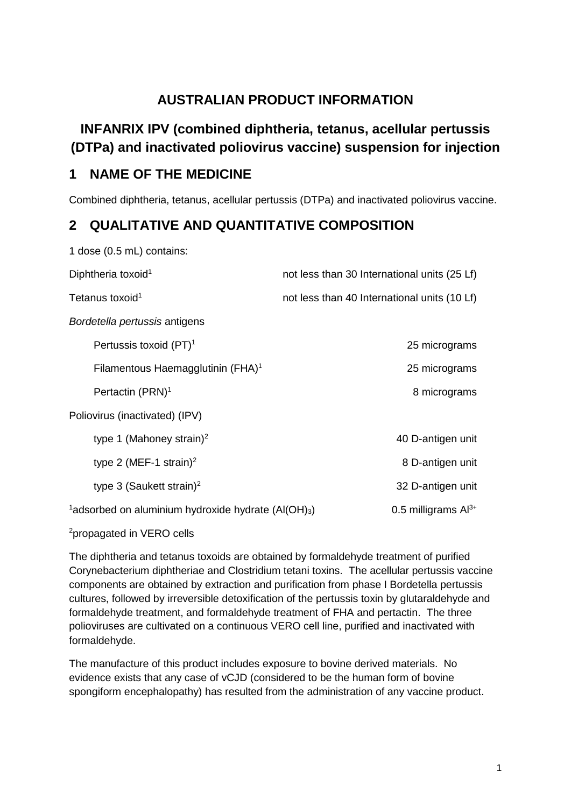# **AUSTRALIAN PRODUCT INFORMATION**

# **INFANRIX IPV (combined diphtheria, tetanus, acellular pertussis (DTPa) and inactivated poliovirus vaccine) suspension for injection**

## **1 NAME OF THE MEDICINE**

1 dose (0.5 mL) contains:

Combined diphtheria, tetanus, acellular pertussis (DTPa) and inactivated poliovirus vaccine.

# **2 QUALITATIVE AND QUANTITATIVE COMPOSITION**

| Diphtheria toxoid <sup>1</sup>                                               | not less than 30 International units (25 Lf) |
|------------------------------------------------------------------------------|----------------------------------------------|
| Tetanus toxoid <sup>1</sup>                                                  | not less than 40 International units (10 Lf) |
| Bordetella pertussis antigens                                                |                                              |
| Pertussis toxoid (PT) <sup>1</sup>                                           | 25 micrograms                                |
| Filamentous Haemagglutinin (FHA) <sup>1</sup>                                | 25 micrograms                                |
| Pertactin (PRN) <sup>1</sup>                                                 | 8 micrograms                                 |
| Poliovirus (inactivated) (IPV)                                               |                                              |
| type 1 (Mahoney strain) <sup>2</sup>                                         | 40 D-antigen unit                            |
| type 2 (MEF-1 strain) <sup>2</sup>                                           | 8 D-antigen unit                             |
| type 3 (Saukett strain) <sup>2</sup>                                         | 32 D-antigen unit                            |
| $\frac{1}{2}$ adsorbed on aluminium hydroxide hydrate (Al(OH) <sub>3</sub> ) | 0.5 milligrams $Al^{3+}$                     |
|                                                                              |                                              |

2 propagated in VERO cells

The diphtheria and tetanus toxoids are obtained by formaldehyde treatment of purified Corynebacterium diphtheriae and Clostridium tetani toxins. The acellular pertussis vaccine components are obtained by extraction and purification from phase I Bordetella pertussis cultures, followed by irreversible detoxification of the pertussis toxin by glutaraldehyde and formaldehyde treatment, and formaldehyde treatment of FHA and pertactin. The three polioviruses are cultivated on a continuous VERO cell line, purified and inactivated with formaldehyde.

The manufacture of this product includes exposure to bovine derived materials. No evidence exists that any case of vCJD (considered to be the human form of bovine spongiform encephalopathy) has resulted from the administration of any vaccine product.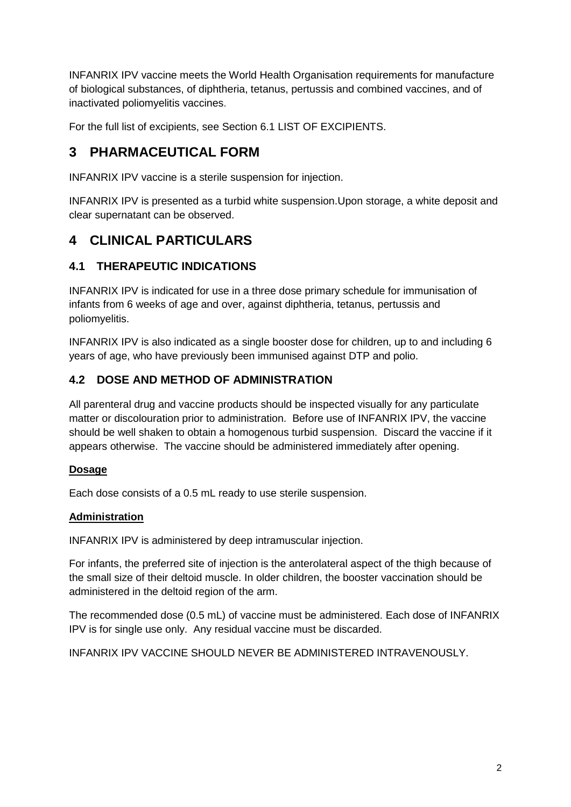INFANRIX IPV vaccine meets the World Health Organisation requirements for manufacture of biological substances, of diphtheria, tetanus, pertussis and combined vaccines, and of inactivated poliomyelitis vaccines.

For the full list of excipients, see Section 6.1 LIST OF EXCIPIENTS.

# **3 PHARMACEUTICAL FORM**

INFANRIX IPV vaccine is a sterile suspension for injection.

INFANRIX IPV is presented as a turbid white suspension.Upon storage, a white deposit and clear supernatant can be observed.

# **4 CLINICAL PARTICULARS**

## **4.1 THERAPEUTIC INDICATIONS**

INFANRIX IPV is indicated for use in a three dose primary schedule for immunisation of infants from 6 weeks of age and over, against diphtheria, tetanus, pertussis and poliomyelitis.

INFANRIX IPV is also indicated as a single booster dose for children, up to and including 6 years of age, who have previously been immunised against DTP and polio.

## **4.2 DOSE AND METHOD OF ADMINISTRATION**

All parenteral drug and vaccine products should be inspected visually for any particulate matter or discolouration prior to administration. Before use of INFANRIX IPV, the vaccine should be well shaken to obtain a homogenous turbid suspension. Discard the vaccine if it appears otherwise. The vaccine should be administered immediately after opening.

## **Dosage**

Each dose consists of a 0.5 mL ready to use sterile suspension.

## **Administration**

INFANRIX IPV is administered by deep intramuscular injection.

For infants, the preferred site of injection is the anterolateral aspect of the thigh because of the small size of their deltoid muscle. In older children, the booster vaccination should be administered in the deltoid region of the arm.

The recommended dose (0.5 mL) of vaccine must be administered. Each dose of INFANRIX IPV is for single use only. Any residual vaccine must be discarded.

INFANRIX IPV VACCINE SHOULD NEVER BE ADMINISTERED INTRAVENOUSLY.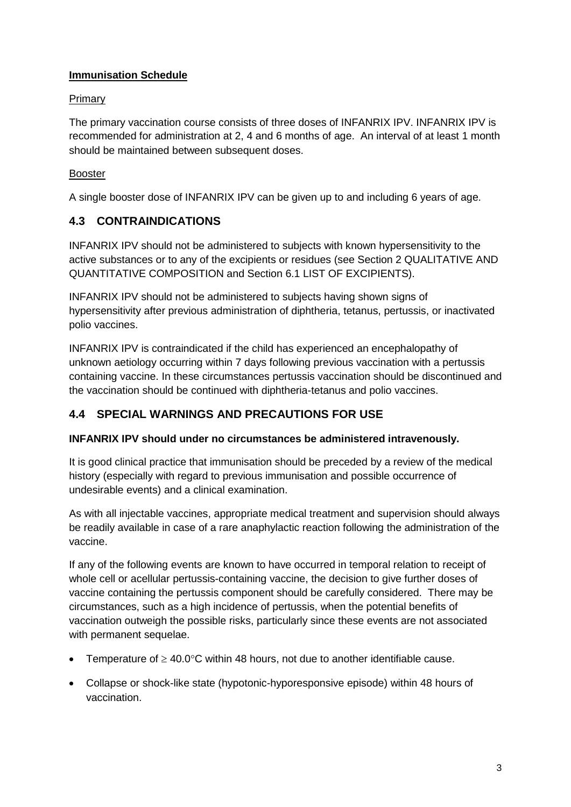## **Immunisation Schedule**

### Primary

The primary vaccination course consists of three doses of INFANRIX IPV. INFANRIX IPV is recommended for administration at 2, 4 and 6 months of age. An interval of at least 1 month should be maintained between subsequent doses.

## Booster

A single booster dose of INFANRIX IPV can be given up to and including 6 years of age.

## **4.3 CONTRAINDICATIONS**

INFANRIX IPV should not be administered to subjects with known hypersensitivity to the active substances or to any of the excipients or residues (see Section 2 QUALITATIVE AND QUANTITATIVE COMPOSITION and Section 6.1 LIST OF EXCIPIENTS).

INFANRIX IPV should not be administered to subjects having shown signs of hypersensitivity after previous administration of diphtheria, tetanus, pertussis, or inactivated polio vaccines.

INFANRIX IPV is contraindicated if the child has experienced an encephalopathy of unknown aetiology occurring within 7 days following previous vaccination with a pertussis containing vaccine. In these circumstances pertussis vaccination should be discontinued and the vaccination should be continued with diphtheria-tetanus and polio vaccines.

## **4.4 SPECIAL WARNINGS AND PRECAUTIONS FOR USE**

### **INFANRIX IPV should under no circumstances be administered intravenously.**

It is good clinical practice that immunisation should be preceded by a review of the medical history (especially with regard to previous immunisation and possible occurrence of undesirable events) and a clinical examination.

As with all injectable vaccines, appropriate medical treatment and supervision should always be readily available in case of a rare anaphylactic reaction following the administration of the vaccine.

If any of the following events are known to have occurred in temporal relation to receipt of whole cell or acellular pertussis-containing vaccine, the decision to give further doses of vaccine containing the pertussis component should be carefully considered. There may be circumstances, such as a high incidence of pertussis, when the potential benefits of vaccination outweigh the possible risks, particularly since these events are not associated with permanent sequelae.

- Temperature of  $\geq 40.0^{\circ}$ C within 48 hours, not due to another identifiable cause.
- Collapse or shock-like state (hypotonic-hyporesponsive episode) within 48 hours of vaccination.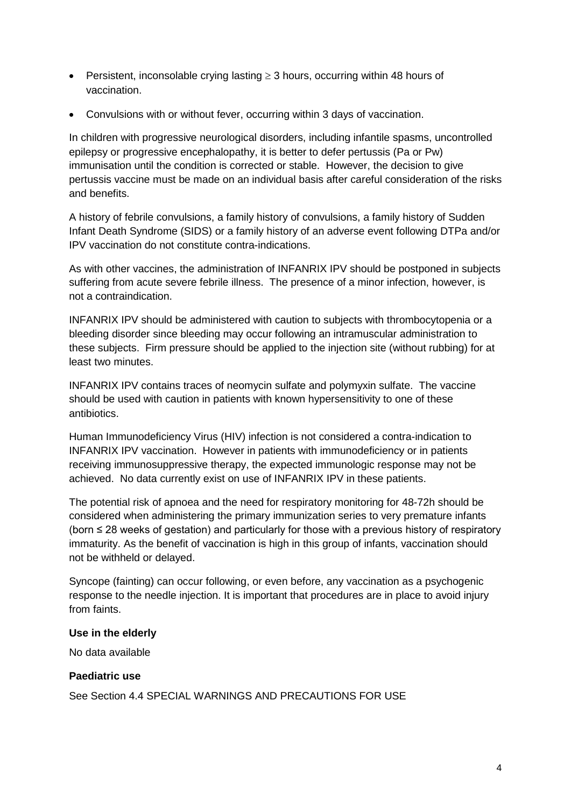- Persistent, inconsolable crying lasting ≥ 3 hours, occurring within 48 hours of vaccination.
- Convulsions with or without fever, occurring within 3 days of vaccination.

In children with progressive neurological disorders, including infantile spasms, uncontrolled epilepsy or progressive encephalopathy, it is better to defer pertussis (Pa or Pw) immunisation until the condition is corrected or stable. However, the decision to give pertussis vaccine must be made on an individual basis after careful consideration of the risks and benefits.

A history of febrile convulsions, a family history of convulsions, a family history of Sudden Infant Death Syndrome (SIDS) or a family history of an adverse event following DTPa and/or IPV vaccination do not constitute contra-indications.

As with other vaccines, the administration of INFANRIX IPV should be postponed in subjects suffering from acute severe febrile illness. The presence of a minor infection, however, is not a contraindication.

INFANRIX IPV should be administered with caution to subjects with thrombocytopenia or a bleeding disorder since bleeding may occur following an intramuscular administration to these subjects. Firm pressure should be applied to the injection site (without rubbing) for at least two minutes.

INFANRIX IPV contains traces of neomycin sulfate and polymyxin sulfate. The vaccine should be used with caution in patients with known hypersensitivity to one of these antibiotics.

Human Immunodeficiency Virus (HIV) infection is not considered a contra-indication to INFANRIX IPV vaccination. However in patients with immunodeficiency or in patients receiving immunosuppressive therapy, the expected immunologic response may not be achieved. No data currently exist on use of INFANRIX IPV in these patients.

The potential risk of apnoea and the need for respiratory monitoring for 48-72h should be considered when administering the primary immunization series to very premature infants (born ≤ 28 weeks of gestation) and particularly for those with a previous history of respiratory immaturity. As the benefit of vaccination is high in this group of infants, vaccination should not be withheld or delayed.

Syncope (fainting) can occur following, or even before, any vaccination as a psychogenic response to the needle injection. It is important that procedures are in place to avoid injury from faints.

#### **Use in the elderly**

No data available

### **Paediatric use**

See Section 4.4 SPECIAL WARNINGS AND PRECAUTIONS FOR USE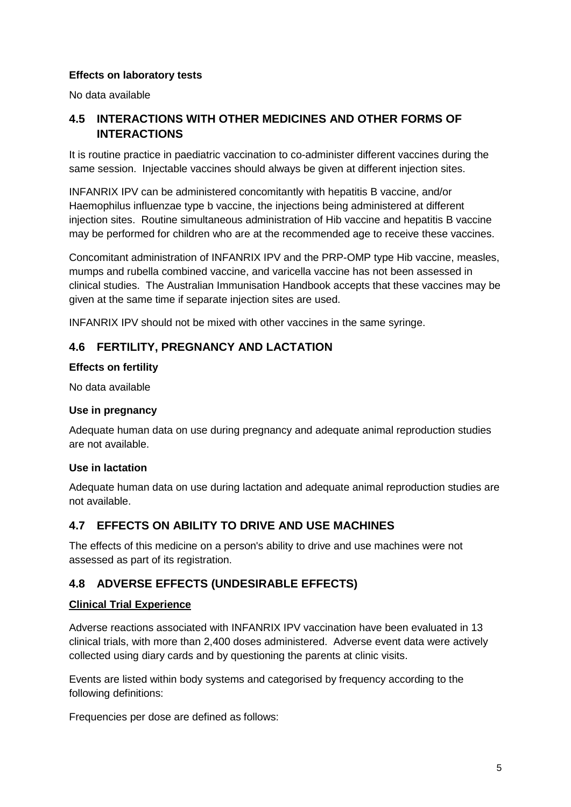#### **Effects on laboratory tests**

No data available

## **4.5 INTERACTIONS WITH OTHER MEDICINES AND OTHER FORMS OF INTERACTIONS**

It is routine practice in paediatric vaccination to co-administer different vaccines during the same session. Injectable vaccines should always be given at different injection sites.

INFANRIX IPV can be administered concomitantly with hepatitis B vaccine, and/or Haemophilus influenzae type b vaccine, the injections being administered at different injection sites. Routine simultaneous administration of Hib vaccine and hepatitis B vaccine may be performed for children who are at the recommended age to receive these vaccines.

Concomitant administration of INFANRIX IPV and the PRP-OMP type Hib vaccine, measles, mumps and rubella combined vaccine, and varicella vaccine has not been assessed in clinical studies. The Australian Immunisation Handbook accepts that these vaccines may be given at the same time if separate injection sites are used.

INFANRIX IPV should not be mixed with other vaccines in the same syringe.

## **4.6 FERTILITY, PREGNANCY AND LACTATION**

#### **Effects on fertility**

No data available

#### **Use in pregnancy**

Adequate human data on use during pregnancy and adequate animal reproduction studies are not available.

#### **Use in lactation**

Adequate human data on use during lactation and adequate animal reproduction studies are not available.

### **4.7 EFFECTS ON ABILITY TO DRIVE AND USE MACHINES**

The effects of this medicine on a person's ability to drive and use machines were not assessed as part of its registration.

### **4.8 ADVERSE EFFECTS (UNDESIRABLE EFFECTS)**

#### **Clinical Trial Experience**

Adverse reactions associated with INFANRIX IPV vaccination have been evaluated in 13 clinical trials, with more than 2,400 doses administered. Adverse event data were actively collected using diary cards and by questioning the parents at clinic visits.

Events are listed within body systems and categorised by frequency according to the following definitions:

Frequencies per dose are defined as follows: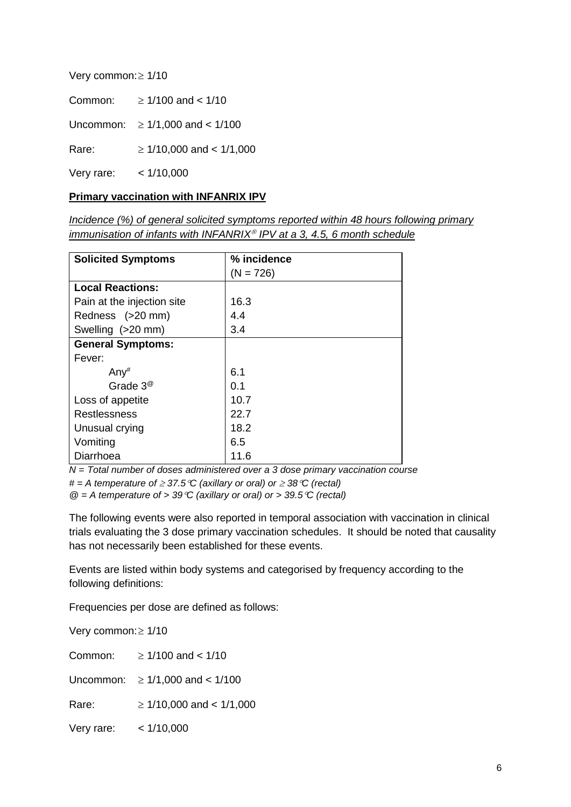| Very common: ≥ 1/10 |  |
|---------------------|--|
|---------------------|--|

| $\geq$ 1/100 and < 1/10              |
|--------------------------------------|
| Uncommon: $\geq 1/1,000$ and < 1/100 |
| $\geq$ 1/10,000 and < 1/1,000        |
|                                      |

Very rare: < 1/10,000

## **Primary vaccination with INFANRIX IPV**

*Incidence (%) of general solicited symptoms reported within 48 hours following primary immunisation of infants with INFANRIX<sup>®</sup> IPV at a 3, 4.5, 6 month schedule* 

| <b>Solicited Symptoms</b>  | % incidence |
|----------------------------|-------------|
|                            | $(N = 726)$ |
| <b>Local Reactions:</b>    |             |
| Pain at the injection site | 16.3        |
| Redness (>20 mm)           | 4.4         |
| Swelling (>20 mm)          | 3.4         |
| <b>General Symptoms:</b>   |             |
| Fever:                     |             |
| Any#                       | 6.1         |
| Grade $3^\circ$            | 0.1         |
| Loss of appetite           | 10.7        |
| Restlessness               | 22.7        |
| Unusual crying             | 18.2        |
| Vomiting                   | 6.5         |
| Diarrhoea                  | 11.6        |

*N = Total number of doses administered over a 3 dose primary vaccination course*

*# = A temperature of* <sup>≥</sup> *37.5*°*C (axillary or oral) or* <sup>≥</sup> *38*°*C (rectal)*

*@ = A temperature of > 39*°*C (axillary or oral) or > 39.5*°*C (rectal)*

The following events were also reported in temporal association with vaccination in clinical trials evaluating the 3 dose primary vaccination schedules. It should be noted that causality has not necessarily been established for these events.

Events are listed within body systems and categorised by frequency according to the following definitions:

Frequencies per dose are defined as follows:

Very common:≥ 1/10 Common:  $> 1/100$  and  $< 1/10$ Uncommon: ≥ 1/1,000 and < 1/100 Rare:  $\geq 1/10,000$  and < 1/1,000 Very rare: < 1/10,000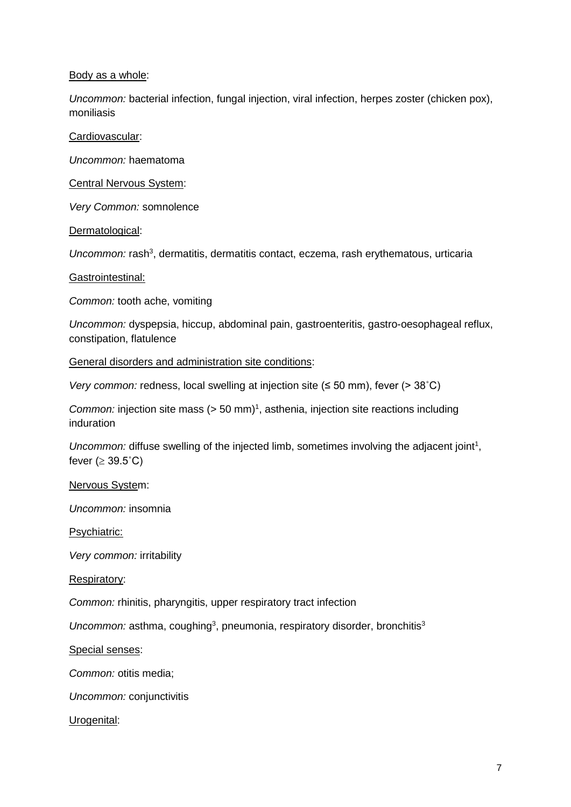#### Body as a whole:

*Uncommon:* bacterial infection, fungal injection, viral infection, herpes zoster (chicken pox), moniliasis

Cardiovascular:

*Uncommon:* haematoma

Central Nervous System:

*Very Common:* somnolence

Dermatological:

Uncommon: rash<sup>3</sup>, dermatitis, dermatitis contact, eczema, rash erythematous, urticaria

Gastrointestinal:

*Common:* tooth ache, vomiting

*Uncommon:* dyspepsia, hiccup, abdominal pain, gastroenteritis, gastro-oesophageal reflux, constipation, flatulence

General disorders and administration site conditions:

*Very common:* redness, local swelling at injection site (≤ 50 mm), fever (> 38°C)

*Common:* injection site mass  $(> 50 \text{ mm})^1$ , asthenia, injection site reactions including induration

Uncommon: diffuse swelling of the injected limb, sometimes involving the adjacent joint<sup>1</sup>, fever ( $\geq 39.5^{\circ}$ C)

Nervous System:

*Uncommon:* insomnia

Psychiatric:

*Very common:* irritability

Respiratory:

*Common:* rhinitis, pharyngitis, upper respiratory tract infection

Uncommon: asthma, coughing<sup>3</sup>, pneumonia, respiratory disorder, bronchitis<sup>3</sup>

Special senses:

*Common:* otitis media;

*Uncommon:* conjunctivitis

Urogenital: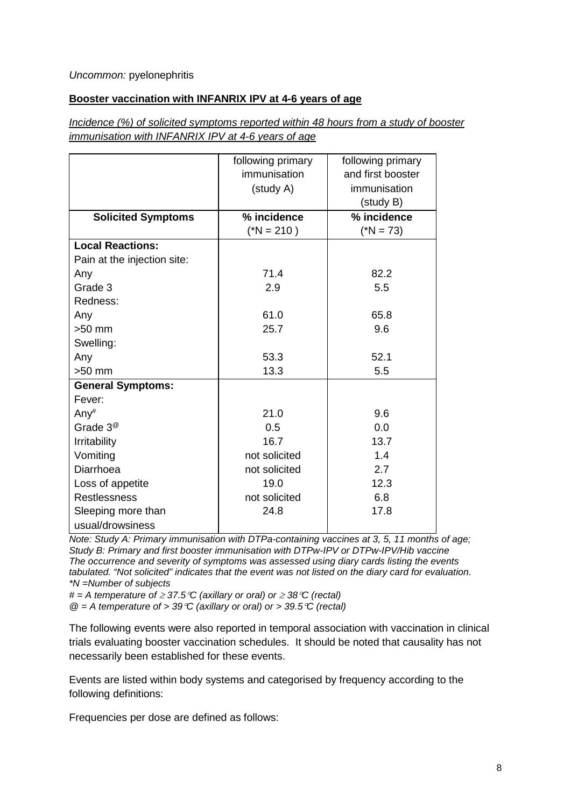#### *Uncommon:* pyelonephritis

#### **Booster vaccination with INFANRIX IPV at 4-6 years of age**

*Incidence (%) of solicited symptoms reported within 48 hours from a study of booster immunisation with INFANRIX IPV at 4-6 years of age*

|                             | following primary<br>immunisation<br>(study A) | following primary<br>and first booster<br>immunisation<br>(study B) |
|-----------------------------|------------------------------------------------|---------------------------------------------------------------------|
| <b>Solicited Symptoms</b>   | % incidence                                    | % incidence                                                         |
|                             | $(*N = 210)$                                   | $(*N = 73)$                                                         |
| <b>Local Reactions:</b>     |                                                |                                                                     |
| Pain at the injection site: |                                                |                                                                     |
| Any                         | 71.4                                           | 82.2                                                                |
| Grade 3                     | 2.9                                            | 5.5                                                                 |
| Redness:                    |                                                |                                                                     |
| Any                         | 61.0                                           | 65.8                                                                |
| $>50$ mm                    | 25.7                                           | 9.6                                                                 |
| Swelling:                   |                                                |                                                                     |
| Any                         | 53.3                                           | 52.1                                                                |
| $>50$ mm                    | 13.3                                           | 5.5                                                                 |
| <b>General Symptoms:</b>    |                                                |                                                                     |
| Fever:                      |                                                |                                                                     |
| Any#                        | 21.0                                           | 9.6                                                                 |
| Grade $3^\circledR$         | 0.5                                            | 0.0                                                                 |
| Irritability                | 16.7                                           | 13.7                                                                |
| Vomiting                    | not solicited                                  | 1.4                                                                 |
| Diarrhoea                   | not solicited                                  | 2.7                                                                 |
| Loss of appetite            | 19.0                                           | 12.3                                                                |
| <b>Restlessness</b>         | not solicited                                  | 6.8                                                                 |
| Sleeping more than          | 24.8                                           | 17.8                                                                |
| usual/drowsiness            |                                                |                                                                     |

*Note: Study A: Primary immunisation with DTPa-containing vaccines at 3, 5, 11 months of age; Study B: Primary and first booster immunisation with DTPw-IPV or DTPw-IPV/Hib vaccine The occurrence and severity of symptoms was assessed using diary cards listing the events tabulated. "Not solicited" indicates that the event was not listed on the diary card for evaluation. \*N =Number of subjects*

*# = A temperature of* <sup>≥</sup> *37.5*°*C (axillary or oral) or* <sup>≥</sup> *38*°*C (rectal) @ = A temperature of > 39*°*C (axillary or oral) or > 39.5*°*C (rectal)*

The following events were also reported in temporal association with vaccination in clinical trials evaluating booster vaccination schedules. It should be noted that causality has not necessarily been established for these events.

Events are listed within body systems and categorised by frequency according to the following definitions:

Frequencies per dose are defined as follows: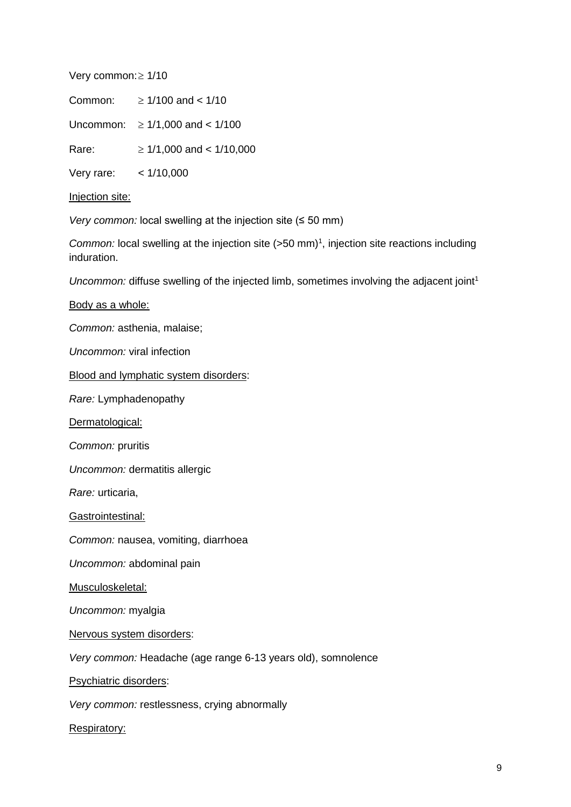Very common:≥ 1/10

Common:  $\geq 1/100$  and < 1/10

Uncommon: ≥ 1/1,000 and < 1/100

Rare:  $\geq 1/1,000$  and < 1/10,000

Very rare: < 1/10,000

Injection site:

*Very common:* local swelling at the injection site (≤ 50 mm)

Common: local swelling at the injection site (>50 mm)<sup>1</sup>, injection site reactions including induration.

*Uncommon:* diffuse swelling of the injected limb, sometimes involving the adjacent joint<sup>1</sup>

Body as a whole:

*Common:* asthenia, malaise;

*Uncommon:* viral infection

Blood and lymphatic system disorders:

*Rare:* Lymphadenopathy

Dermatological:

*Common:* pruritis

*Uncommon:* dermatitis allergic

*Rare:* urticaria,

Gastrointestinal:

*Common:* nausea, vomiting, diarrhoea

*Uncommon:* abdominal pain

Musculoskeletal:

*Uncommon:* myalgia

Nervous system disorders:

*Very common:* Headache (age range 6-13 years old), somnolence

Psychiatric disorders:

*Very common:* restlessness, crying abnormally

Respiratory: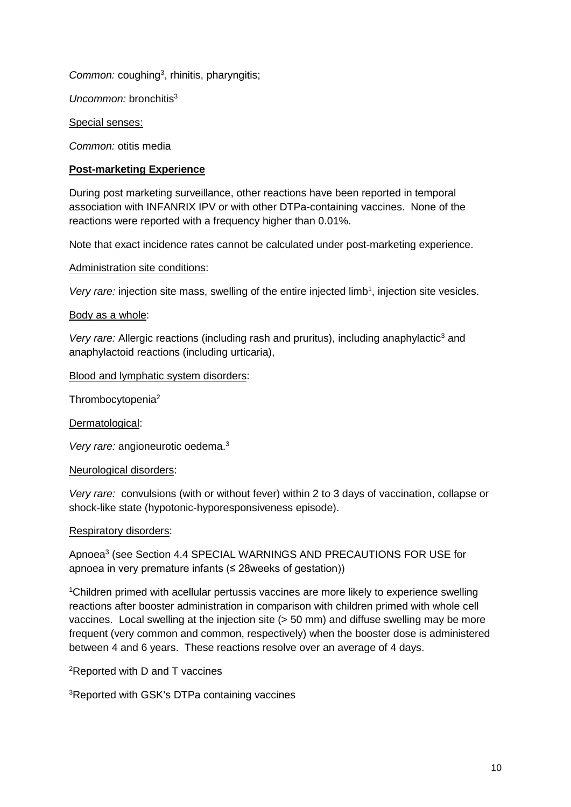Common: coughing<sup>3</sup>, rhinitis, pharyngitis;

*Uncommon:* bronchitis<sup>3</sup>

Special senses:

*Common:* otitis media

#### **Post-marketing Experience**

During post marketing surveillance, other reactions have been reported in temporal association with INFANRIX IPV or with other DTPa-containing vaccines. None of the reactions were reported with a frequency higher than 0.01%.

Note that exact incidence rates cannot be calculated under post-marketing experience.

Administration site conditions:

Very rare: injection site mass, swelling of the entire injected limb<sup>1</sup>, injection site vesicles.

#### Body as a whole:

Very rare: Allergic reactions (including rash and pruritus), including anaphylactic<sup>3</sup> and anaphylactoid reactions (including urticaria),

Blood and lymphatic system disorders:

Thrombocytopenia2

Dermatological:

*Very rare:* angioneurotic oedema.3

#### Neurological disorders:

*Very rare:* convulsions (with or without fever) within 2 to 3 days of vaccination, collapse or shock-like state (hypotonic-hyporesponsiveness episode).

#### Respiratory disorders:

Apnoea3 (see Section 4.4 SPECIAL WARNINGS AND PRECAUTIONS FOR USE for apnoea in very premature infants (≤ 28weeks of gestation))

<sup>1</sup>Children primed with acellular pertussis vaccines are more likely to experience swelling reactions after booster administration in comparison with children primed with whole cell vaccines. Local swelling at the injection site ( $>$  50 mm) and diffuse swelling may be more frequent (very common and common, respectively) when the booster dose is administered between 4 and 6 years. These reactions resolve over an average of 4 days.

<sup>2</sup>Reported with D and T vaccines

3 Reported with GSK's DTPa containing vaccines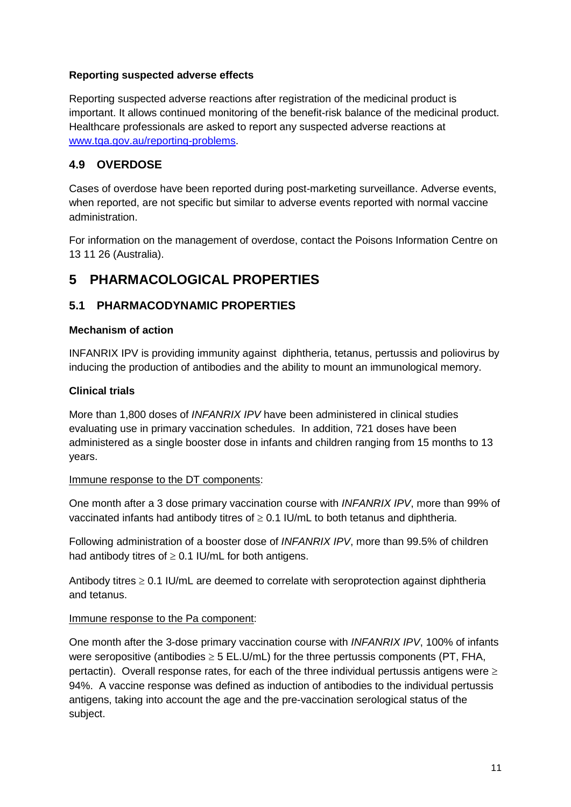### **Reporting suspected adverse effects**

Reporting suspected adverse reactions after registration of the medicinal product is important. It allows continued monitoring of the benefit-risk balance of the medicinal product. Healthcare professionals are asked to report any suspected adverse reactions at [www.tga.gov.au/reporting-problems.](http://www.tga.gov.au/reporting-problems)

## **4.9 OVERDOSE**

Cases of overdose have been reported during post-marketing surveillance. Adverse events, when reported, are not specific but similar to adverse events reported with normal vaccine administration.

For information on the management of overdose, contact the Poisons Information Centre on 13 11 26 (Australia).

# **5 PHARMACOLOGICAL PROPERTIES**

## **5.1 PHARMACODYNAMIC PROPERTIES**

#### **Mechanism of action**

INFANRIX IPV is providing immunity against diphtheria, tetanus, pertussis and poliovirus by inducing the production of antibodies and the ability to mount an immunological memory.

#### **Clinical trials**

More than 1,800 doses of *INFANRIX IPV* have been administered in clinical studies evaluating use in primary vaccination schedules. In addition, 721 doses have been administered as a single booster dose in infants and children ranging from 15 months to 13 years.

#### Immune response to the DT components:

One month after a 3 dose primary vaccination course with *INFANRIX IPV*, more than 99% of vaccinated infants had antibody titres of  $\geq$  0.1 IU/mL to both tetanus and diphtheria.

Following administration of a booster dose of *INFANRIX IPV*, more than 99.5% of children had antibody titres of  $\geq$  0.1 IU/mL for both antigens.

Antibody titres  $\geq 0.1$  IU/mL are deemed to correlate with seroprotection against diphtheria and tetanus.

#### Immune response to the Pa component:

One month after the 3-dose primary vaccination course with *INFANRIX IPV*, 100% of infants were seropositive (antibodies  $\geq$  5 EL.U/mL) for the three pertussis components (PT, FHA, pertactin). Overall response rates, for each of the three individual pertussis antigens were  $\geq$ 94%. A vaccine response was defined as induction of antibodies to the individual pertussis antigens, taking into account the age and the pre-vaccination serological status of the subject.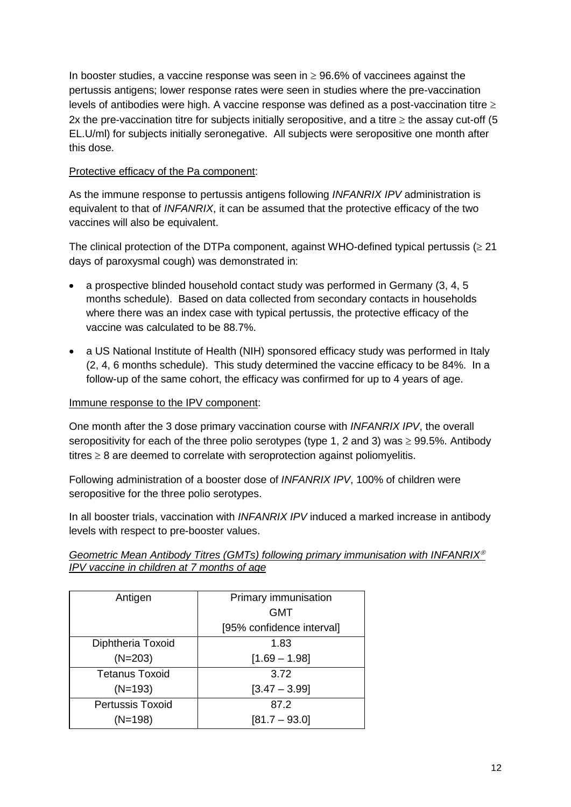In booster studies, a vaccine response was seen in  $\geq$  96.6% of vaccinees against the pertussis antigens; lower response rates were seen in studies where the pre-vaccination levels of antibodies were high. A vaccine response was defined as a post-vaccination titre  $\geq$ 2x the pre-vaccination titre for subjects initially seropositive, and a titre  $\geq$  the assay cut-off (5 EL.U/ml) for subjects initially seronegative. All subjects were seropositive one month after this dose.

#### Protective efficacy of the Pa component:

As the immune response to pertussis antigens following *INFANRIX IPV* administration is equivalent to that of *INFANRIX*, it can be assumed that the protective efficacy of the two vaccines will also be equivalent.

The clinical protection of the DTPa component, against WHO-defined typical pertussis ( $\geq$  21 days of paroxysmal cough) was demonstrated in:

- a prospective blinded household contact study was performed in Germany (3, 4, 5 months schedule). Based on data collected from secondary contacts in households where there was an index case with typical pertussis, the protective efficacy of the vaccine was calculated to be 88.7%.
- a US National Institute of Health (NIH) sponsored efficacy study was performed in Italy (2, 4, 6 months schedule). This study determined the vaccine efficacy to be 84%. In a follow-up of the same cohort, the efficacy was confirmed for up to 4 years of age.

#### Immune response to the IPV component:

One month after the 3 dose primary vaccination course with *INFANRIX IPV*, the overall seropositivity for each of the three polio serotypes (type 1, 2 and 3) was  $\geq$  99.5%. Antibody titres  $\geq 8$  are deemed to correlate with seroprotection against poliomyelitis.

Following administration of a booster dose of *INFANRIX IPV*, 100% of children were seropositive for the three polio serotypes.

In all booster trials, vaccination with *INFANRIX IPV* induced a marked increase in antibody levels with respect to pre-booster values.

#### *Geometric Mean Antibody Titres (GMTs) following primary immunisation with INFANRIX IPV vaccine in children at 7 months of age*

| Antigen                 | Primary immunisation      |
|-------------------------|---------------------------|
|                         | GMT                       |
|                         | [95% confidence interval] |
| Diphtheria Toxoid       | 1.83                      |
| $(N=203)$               | $[1.69 - 1.98]$           |
| <b>Tetanus Toxoid</b>   | 3.72                      |
| $(N=193)$               | $[3.47 - 3.99]$           |
| <b>Pertussis Toxoid</b> | 87.2                      |
| $(N=198)$               | $[81.7 - 93.0]$           |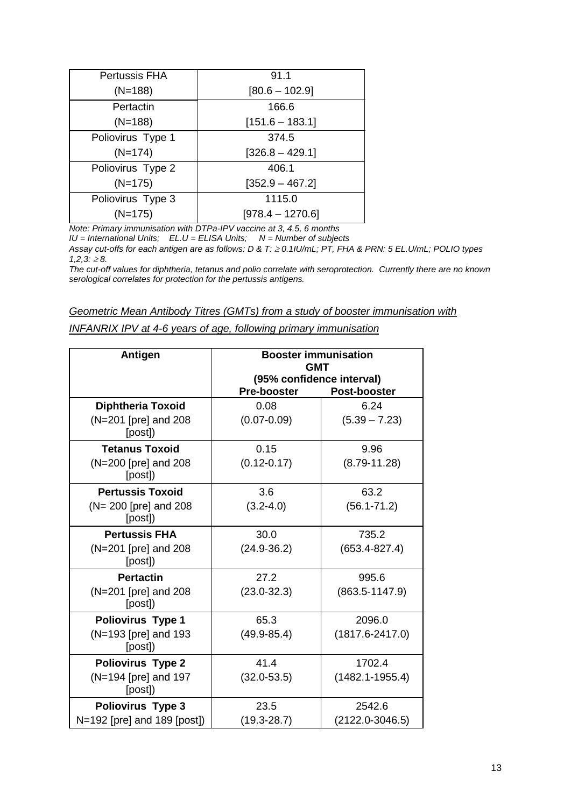| <b>Pertussis FHA</b> | 91.1               |
|----------------------|--------------------|
| $(N=188)$            | $[80.6 - 102.9]$   |
| Pertactin            | 166.6              |
| $(N=188)$            | $[151.6 - 183.1]$  |
| Poliovirus Type 1    | 374.5              |
| $(N=174)$            | $[326.8 - 429.1]$  |
| Poliovirus Type 2    | 406.1              |
| $(N=175)$            | $[352.9 - 467.2]$  |
| Poliovirus Type 3    | 1115.0             |
| $(N=175)$            | $[978.4 - 1270.6]$ |

*Note: Primary immunisation with DTPa-IPV vaccine at 3, 4.5, 6 months*

*IU = International Units; EL.U = ELISA Units; N = Number of subjects*

*Assay cut-offs for each antigen are as follows: D & T:* <sup>≥</sup> *0.1IU/mL; PT, FHA & PRN: 5 EL.U/mL; POLIO types*   $1,2,3:≥8.$ 

*The cut-off values for diphtheria, tetanus and polio correlate with seroprotection. Currently there are no known serological correlates for protection for the pertussis antigens.*

|--|

| INFANRIX IPV at 4-6 years of age, following primary immunisation |  |  |
|------------------------------------------------------------------|--|--|
|                                                                  |  |  |

| <b>Antigen</b>                   | <b>Booster immunisation</b><br><b>GMT</b> |                                           |
|----------------------------------|-------------------------------------------|-------------------------------------------|
|                                  | <b>Pre-booster</b>                        | (95% confidence interval)<br>Post-booster |
| <b>Diphtheria Toxoid</b>         | 0.08                                      | 6.24                                      |
| (N=201 [pre] and 208<br>[post])  | $(0.07 - 0.09)$                           | $(5.39 - 7.23)$                           |
| <b>Tetanus Toxoid</b>            | 0.15                                      | 9.96                                      |
| (N=200 [pre] and 208<br>[post])  | $(0.12 - 0.17)$                           | $(8.79 - 11.28)$                          |
| <b>Pertussis Toxoid</b>          | 3.6                                       | 63.2                                      |
| (N= 200 [pre] and 208<br>[post]) | $(3.2 - 4.0)$                             | $(56.1 - 71.2)$                           |
| <b>Pertussis FHA</b>             | 30.0                                      | 735.2                                     |
| (N=201 [pre] and 208<br>[post])  | $(24.9 - 36.2)$                           | $(653.4 - 827.4)$                         |
| <b>Pertactin</b>                 | 27.2                                      | 995.6                                     |
| (N=201 [pre] and 208<br>[post])  | $(23.0 - 32.3)$                           | $(863.5 - 1147.9)$                        |
| <b>Poliovirus Type 1</b>         | 65.3                                      | 2096.0                                    |
| (N=193 [pre] and 193<br>[post])  | $(49.9 - 85.4)$                           | $(1817.6 - 2417.0)$                       |
| <b>Poliovirus Type 2</b>         | 41.4                                      | 1702.4                                    |
| (N=194 [pre] and 197<br>[post])  | $(32.0 - 53.5)$                           | $(1482.1 - 1955.4)$                       |
| Poliovirus Type 3                | 23.5                                      | 2542.6                                    |
| N=192 [pre] and 189 [post])      | $(19.3 - 28.7)$                           | $(2122.0 - 3046.5)$                       |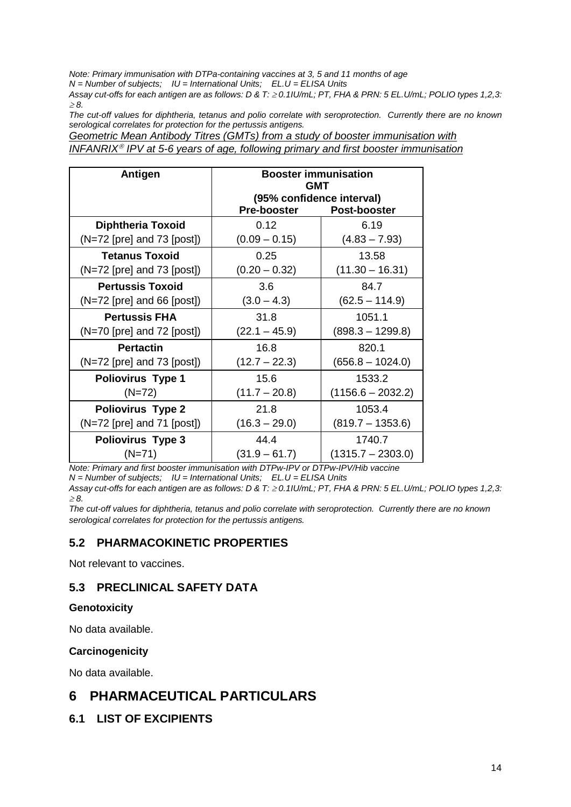*Note: Primary immunisation with DTPa-containing vaccines at 3, 5 and 11 months of age*

*N = Number of subjects; IU = International Units; EL.U = ELISA Units*

*Assay cut-offs for each antigen are as follows: D & T:* <sup>≥</sup> *0.1IU/mL; PT, FHA & PRN: 5 EL.U/mL; POLIO types 1,2,3:*  <sup>≥</sup> *8.*

*The cut-off values for diphtheria, tetanus and polio correlate with seroprotection. Currently there are no known serological correlates for protection for the pertussis antigens.*

*Geometric Mean Antibody Titres (GMTs) from a study of booster immunisation with INFANRIX<sup>®</sup> IPV at 5-6 vears of age, following primary and first booster immunisation* 

| <b>Antigen</b>               | <b>Booster immunisation</b><br><b>GMT</b>       |                     |
|------------------------------|-------------------------------------------------|---------------------|
|                              | (95% confidence interval)<br><b>Pre-booster</b> | <b>Post-booster</b> |
| <b>Diphtheria Toxoid</b>     | 0.12                                            | 6.19                |
| (N=72 [pre] and 73 [post])   | $(0.09 - 0.15)$                                 | $(4.83 - 7.93)$     |
| <b>Tetanus Toxoid</b>        | 0.25                                            | 13.58               |
| $(N=72$ [pre] and 73 [post]) | $(0.20 - 0.32)$                                 | $(11.30 - 16.31)$   |
| <b>Pertussis Toxoid</b>      | 3.6                                             | 84.7                |
| (N=72 [pre] and 66 [post])   | $(3.0 - 4.3)$                                   | $(62.5 - 114.9)$    |
| <b>Pertussis FHA</b>         | 31.8                                            | 1051.1              |
| $(N=70$ [pre] and 72 [post]) | $(22.1 - 45.9)$                                 | $(898.3 - 1299.8)$  |
| <b>Pertactin</b>             | 16.8                                            | 820.1               |
| $(N=72$ [pre] and 73 [post]) | $(12.7 - 22.3)$                                 | $(656.8 - 1024.0)$  |
| <b>Poliovirus Type 1</b>     | 15.6                                            | 1533.2              |
| $(N=72)$                     | $(11.7 - 20.8)$                                 | $(1156.6 - 2032.2)$ |
| <b>Poliovirus Type 2</b>     | 21.8                                            | 1053.4              |
| $(N=72$ [pre] and 71 [post]) | $(16.3 - 29.0)$                                 | $(819.7 - 1353.6)$  |
| Poliovirus Type 3            | 44.4                                            | 1740.7              |
| $(N=71)$                     | $(31.9 - 61.7)$                                 | $(1315.7 - 2303.0)$ |

*Note: Primary and first booster immunisation with DTPw-IPV or DTPw-IPV/Hib vaccine N = Number of subjects; IU = International Units; EL.U = ELISA Units*

*Assay cut-offs for each antigen are as follows: D & T:* <sup>≥</sup> *0.1IU/mL; PT, FHA & PRN: 5 EL.U/mL; POLIO types 1,2,3:*  <sup>≥</sup> *8.*

*The cut-off values for diphtheria, tetanus and polio correlate with seroprotection. Currently there are no known serological correlates for protection for the pertussis antigens.*

## **5.2 PHARMACOKINETIC PROPERTIES**

Not relevant to vaccines.

## **5.3 PRECLINICAL SAFETY DATA**

#### **Genotoxicity**

No data available.

#### **Carcinogenicity**

No data available.

# **6 PHARMACEUTICAL PARTICULARS**

### **6.1 LIST OF EXCIPIENTS**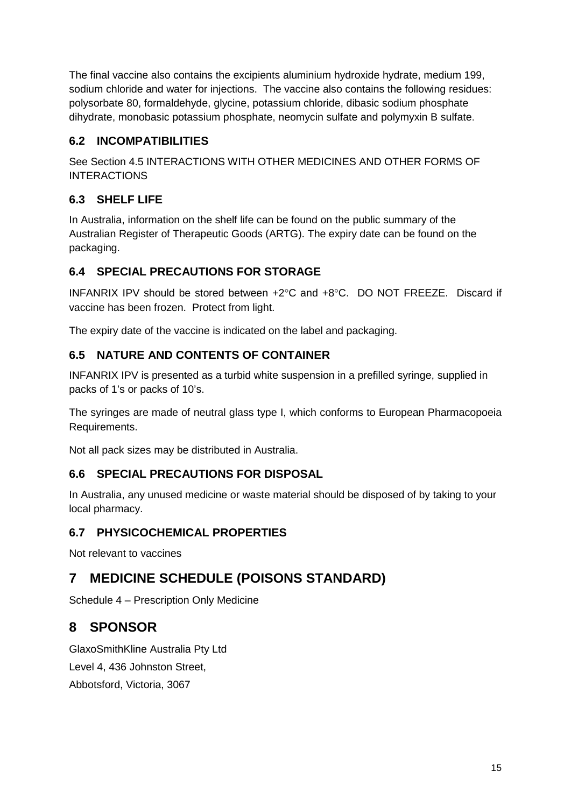The final vaccine also contains the excipients aluminium hydroxide hydrate, medium 199, sodium chloride and water for injections. The vaccine also contains the following residues: polysorbate 80, formaldehyde, glycine, potassium chloride, dibasic sodium phosphate dihydrate, monobasic potassium phosphate, neomycin sulfate and polymyxin B sulfate.

## **6.2 INCOMPATIBILITIES**

See Section 4.5 INTERACTIONS WITH OTHER MEDICINES AND OTHER FORMS OF INTERACTIONS

## **6.3 SHELF LIFE**

In Australia, information on the shelf life can be found on the public summary of the Australian Register of Therapeutic Goods (ARTG). The expiry date can be found on the packaging.

## **6.4 SPECIAL PRECAUTIONS FOR STORAGE**

INFANRIX IPV should be stored between +2°C and +8°C. DO NOT FREEZE. Discard if vaccine has been frozen. Protect from light.

The expiry date of the vaccine is indicated on the label and packaging.

## **6.5 NATURE AND CONTENTS OF CONTAINER**

INFANRIX IPV is presented as a turbid white suspension in a prefilled syringe, supplied in packs of 1's or packs of 10's.

The syringes are made of neutral glass type I, which conforms to European Pharmacopoeia Requirements.

Not all pack sizes may be distributed in Australia.

## **6.6 SPECIAL PRECAUTIONS FOR DISPOSAL**

In Australia, any unused medicine or waste material should be disposed of by taking to your local pharmacy.

## **6.7 PHYSICOCHEMICAL PROPERTIES**

Not relevant to vaccines

# **7 MEDICINE SCHEDULE (POISONS STANDARD)**

Schedule 4 – Prescription Only Medicine

# **8 SPONSOR**

GlaxoSmithKline Australia Pty Ltd Level 4, 436 Johnston Street, Abbotsford, Victoria, 3067